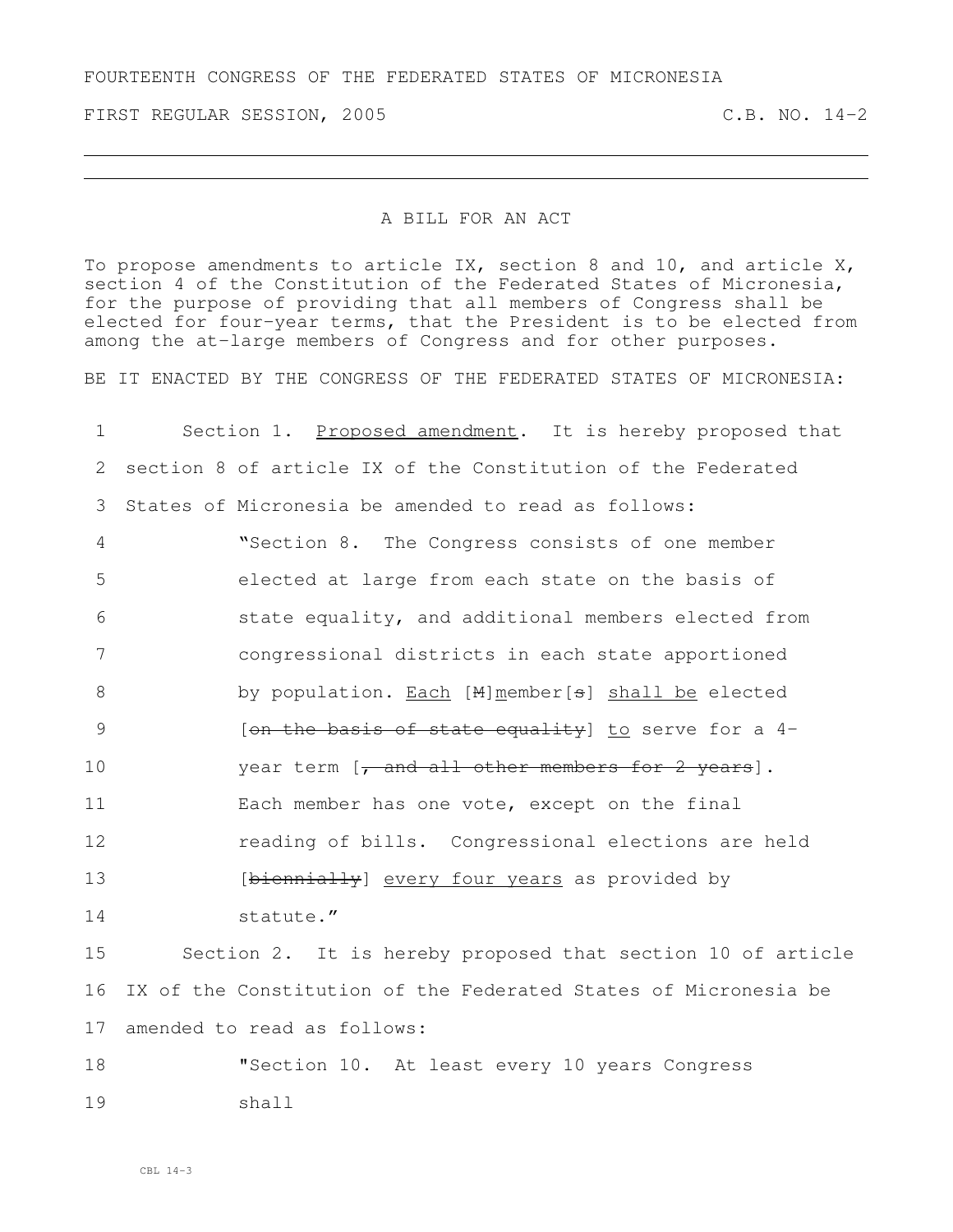FIRST REGULAR SESSION, 2005 C.B. NO. 14-2

## A BILL FOR AN ACT

To propose amendments to article IX, section 8 and 10, and article X, section 4 of the Constitution of the Federated States of Micronesia, for the purpose of providing that all members of Congress shall be elected for four-year terms, that the President is to be elected from among the at-large members of Congress and for other purposes.

BE IT ENACTED BY THE CONGRESS OF THE FEDERATED STATES OF MICRONESIA:

 Section 1. Proposed amendment. It is hereby proposed that section 8 of article IX of the Constitution of the Federated States of Micronesia be amended to read as follows: "Section 8. The Congress consists of one member elected at large from each state on the basis of state equality, and additional members elected from congressional districts in each state apportioned 8 by population. Each [M]member[s] shall be elected 9 [on the basis of state equality] to serve for a 4-10 year term [, and all other members for 2 years]. Each member has one vote, except on the final **reading of bills.** Congressional elections are held **b** [biennially] every four years as provided by statute." Section 2. It is hereby proposed that section 10 of article IX of the Constitution of the Federated States of Micronesia be amended to read as follows: "Section 10. At least every 10 years Congress 19 shall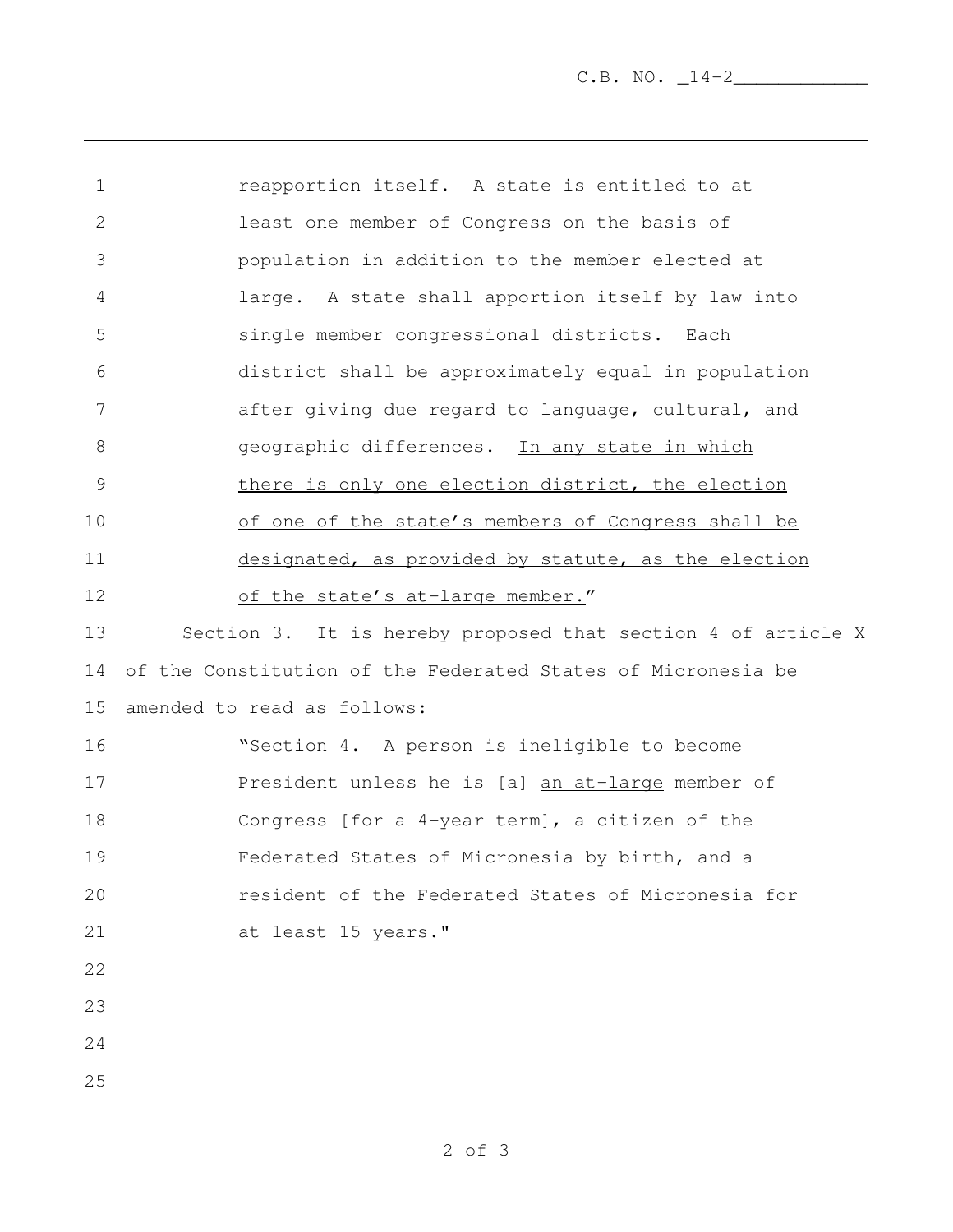| $\mathbf 1$   | reapportion itself. A state is entitled to at                |
|---------------|--------------------------------------------------------------|
| 2             | least one member of Congress on the basis of                 |
| 3             | population in addition to the member elected at              |
| 4             | large. A state shall apportion itself by law into            |
| 5             | single member congressional districts. Each                  |
| 6             | district shall be approximately equal in population          |
| 7             | after giving due regard to language, cultural, and           |
| 8             | geographic differences. In any state in which                |
| $\mathcal{G}$ | there is only one election district, the election            |
| 10            | of one of the state's members of Congress shall be           |
| 11            | designated, as provided by statute, as the election          |
| 12            | of the state's at-large member."                             |
| 13            | Section 3. It is hereby proposed that section 4 of article X |
| 14            | of the Constitution of the Federated States of Micronesia be |
| 15            | amended to read as follows:                                  |
| 16            | "Section 4. A person is ineligible to become                 |
| 17            | President unless he is [a] an at-large member of             |
| 18            | Congress $[for a 4-year term]$ , a citizen of the            |
| 19            | Federated States of Micronesia by birth, and a               |
| 20            | resident of the Federated States of Micronesia for           |
| 21            | at least 15 years."                                          |
| 22            |                                                              |
| 23            |                                                              |
| 24            |                                                              |
| 25            |                                                              |